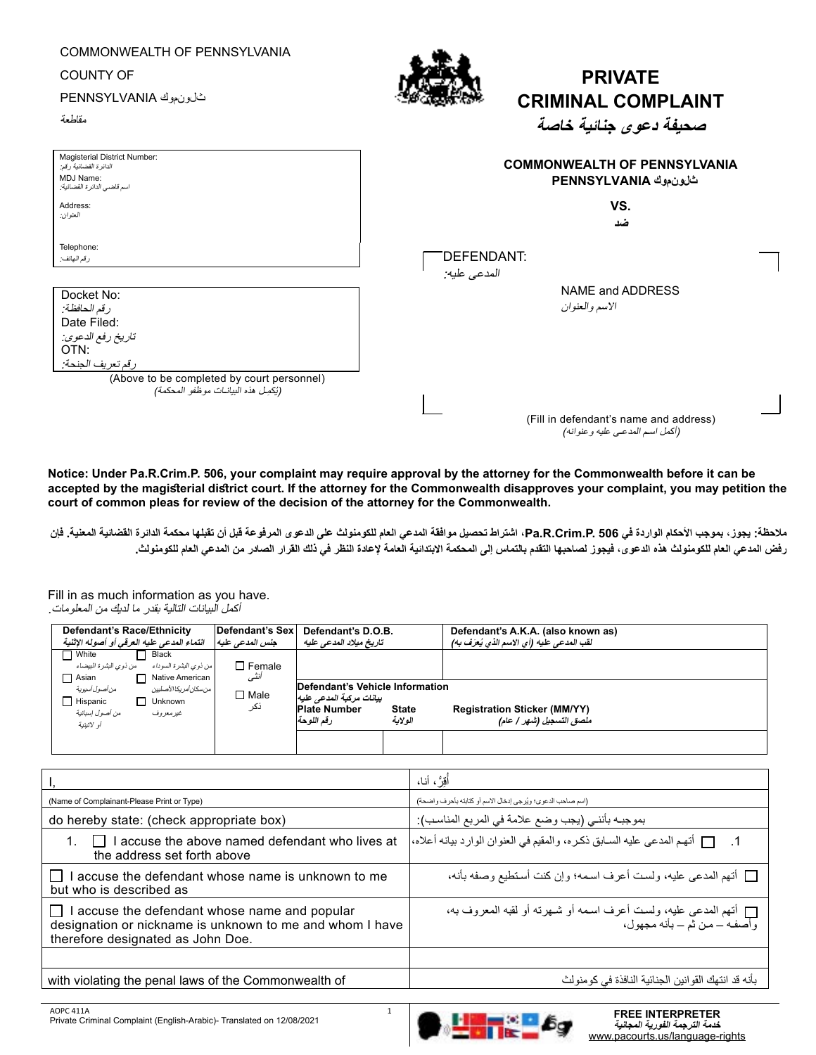| COMMONWEALTH OF PENNSYLVANIA<br><b>COUNTY OF</b><br>شارن موك PENNSYLVANIA<br>مقلطعة                  | <b>PRIVATE</b><br><b>CRIMINAL COMPLAINT</b><br>صحيفة دعوى جنائية خاصة |
|------------------------------------------------------------------------------------------------------|-----------------------------------------------------------------------|
| Magisterial District Number:<br>الدائرة القضائية رقم:<br>MDJ Name:<br>اسم قاضي الدائر ة القضائية:    | <b>COMMONWEALTH OF PENNSYLVANIA</b><br>شان موك PENNSYLVANIA           |
| Address:                                                                                             | VS.                                                                   |
| العنو ان:                                                                                            | ضد                                                                    |
| Telephone:                                                                                           | DEFENDANT:                                                            |
| رقم الهاتف:                                                                                          | المدعى عليه:                                                          |
| Docket No:<br>رقم الحافظة:<br>Date Filed:<br>تاريخ رفع الدعوى:<br>OTN:<br>رقم تعري <u>ف ا</u> لجنحة: | NAME and ADDRESS<br>الاسم والعنوان                                    |
| (Above to be completed by court personnel)                                                           | (Fill in defendant's name and address)                                |
| (يُكمِل هذه البيانــات موظفو المحكمة)                                                                | (أكمل اسم المدعى عليه و عنوانه)                                       |

**Notice: Under Pa.R.Crim.P. 506, your complaint may require approval by the attorney for the Commonwealth before it can be accepted by the magisterial district court. If the attorney for the Commonwealth disapproves your complaint, you may petition the court of common pleas for review of the decision of the attorney for the Commonwealth.** 

**مالحظة: يجوز، بموجب األحكام الواردة في 506 .P.Crim.R.Pa، اشتراط تحصيل موافقة المدعي العام للكومنولث على الدعوى المرفوعة قبل أن تقبلها محكمة الدائرة القضائية المعنية. فإن رفض المدعي العام للكومنولث هذه الدعوى، فيجوز لصاحبها التقدم بالتماس إلى المحكمة االبتدائية العامة إلعادة النظر في ذلك القرار الصادر من المدعي العام للكومنولث.**

Fill in as much information as you have. أكمل البيانات التالية بقدر ما لديك من المعلومات.

| Defendant's Race/Ethnicity<br>النماء المدعى عليه العرقي أو أصوله الإثنية                                                                                   | Defendant's Sex<br>جنس المدعى عليه | Defendant's D.O.B.<br>تاريخ ميلاد المدعى عليه                  |                         | Defendant's A.K.A. (also known as)<br>لقب المدعى عليه (أي الاسم الذي يُعرَف به) |
|------------------------------------------------------------------------------------------------------------------------------------------------------------|------------------------------------|----------------------------------------------------------------|-------------------------|---------------------------------------------------------------------------------|
| $\Box$ White<br>Black<br>من ذوى البشرة السوداء<br>من ذوى البشرة البيضاء<br>$\Box$ Asian<br>Native American<br>من أصول أسيوية<br>  من سكان أمر بكا الأصليين | $\Box$ Female<br>أنثى              | Defendant's Vehicle Information                                |                         |                                                                                 |
| $\Box$ Hispanic<br>Unknown<br>من أصول إسبانية<br>غیر معر وف<br>أو لاتينية                                                                                  | $\Box$ Male<br>نكر                 | بيانات مركبة المدعى عليه<br><b>Plate Number</b><br>ر قم اللوحة | <b>State</b><br>الولاية | <b>Registration Sticker (MM/YY)</b><br>ملصق التسجيل (شهر / عام)                 |

|                                                                                                                                              | أُقِرُّ ، أنا،                                                                                    |
|----------------------------------------------------------------------------------------------------------------------------------------------|---------------------------------------------------------------------------------------------------|
| (Name of Complainant-Please Print or Type)                                                                                                   | (اسم صاحب الدعوى؛ ويُرجى إدخال الاسم أو كتابته بأحرف واضحة)                                       |
| do hereby state: (check appropriate box)                                                                                                     | بموجبـه بأننـي (يجب وضـع علامة في المربع المناسب):                                                |
| I accuse the above named defendant who lives at<br>$\Box$<br>the address set forth above                                                     | . [ [ أتهم المدعى عليه السـابق ذكـره، والمقيم في العنوان الوارد بيانه أعلاه،                      |
| accuse the defendant whose name is unknown to me<br>but who is described as                                                                  | □ أتهم المدعى عليه، ولست أعرف اسمه؛ وإن كنت أستطيع وصفه بأنه،                                     |
| accuse the defendant whose name and popular<br>designation or nickname is unknown to me and whom I have<br>therefore designated as John Doe. | ] أتهم المدعى عليه، ولست أعرف اسمه أو شـهرته أو لقبه المعروف به،<br>وأصفـه – مـن ثم – بأنه مجهول، |
|                                                                                                                                              |                                                                                                   |
| with violating the penal laws of the Commonwealth of                                                                                         | بأنه قد انتهك القوانين الجنائية النافذة في كومنولث                                                |